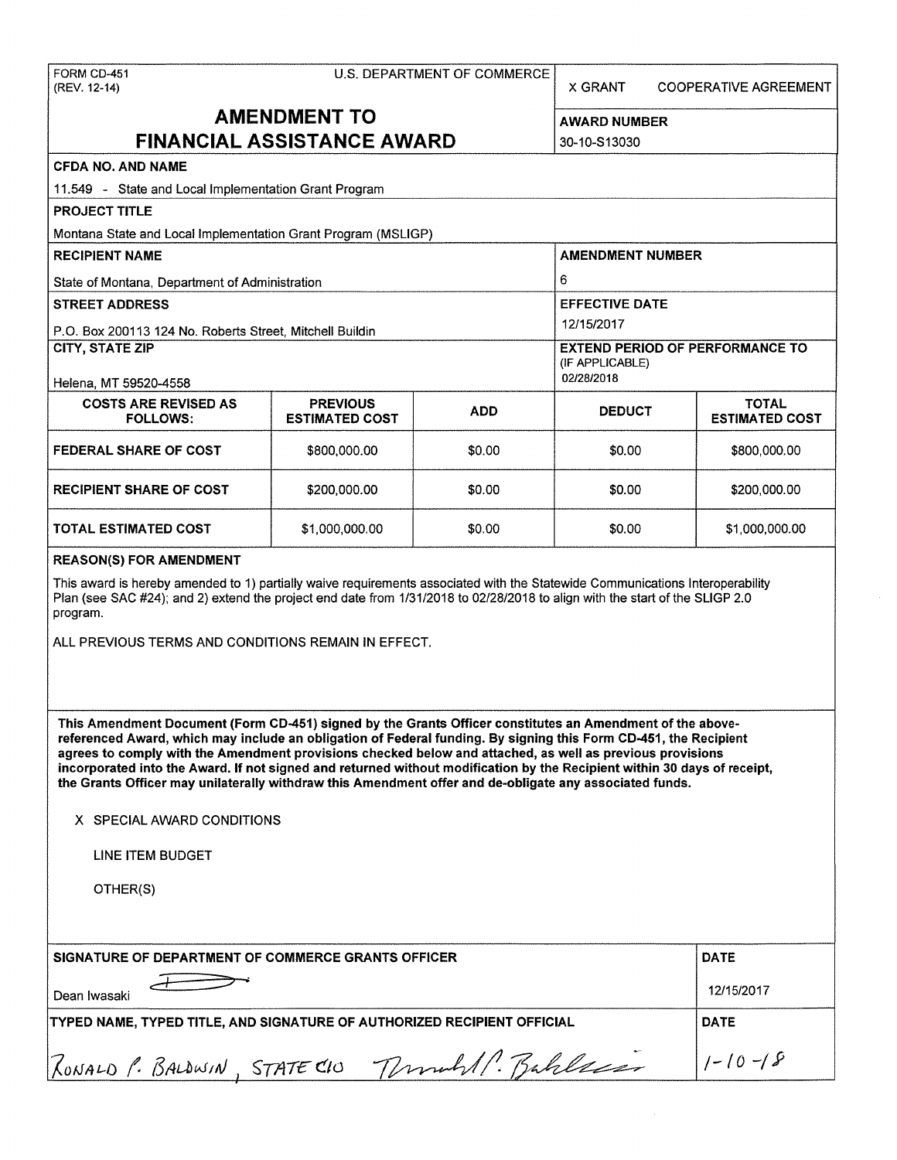FORM CD-451<br>(REV. 12-14)

| U.S. DEPARTMENT OF COMMERCE |  |
|-----------------------------|--|
|-----------------------------|--|

X GRANT COOPERATIVE AGREEMENT

# **AMENDMENT TO** AWARD NUMBER

| <b>FINANCIAL ASSISTANCE AWARD</b>                                                                                                                                                                                                                                                                                                                                                                                                                                                                                                                                                                                                               |                                                                 |            | 30-10-S13030                                                            |                                       |  |
|-------------------------------------------------------------------------------------------------------------------------------------------------------------------------------------------------------------------------------------------------------------------------------------------------------------------------------------------------------------------------------------------------------------------------------------------------------------------------------------------------------------------------------------------------------------------------------------------------------------------------------------------------|-----------------------------------------------------------------|------------|-------------------------------------------------------------------------|---------------------------------------|--|
| <b>CFDA NO. AND NAME</b>                                                                                                                                                                                                                                                                                                                                                                                                                                                                                                                                                                                                                        |                                                                 |            |                                                                         |                                       |  |
| 11.549 - State and Local Implementation Grant Program                                                                                                                                                                                                                                                                                                                                                                                                                                                                                                                                                                                           |                                                                 |            |                                                                         |                                       |  |
| <b>PROJECT TITLE</b>                                                                                                                                                                                                                                                                                                                                                                                                                                                                                                                                                                                                                            |                                                                 |            |                                                                         |                                       |  |
| Montana State and Local Implementation Grant Program (MSLIGP)                                                                                                                                                                                                                                                                                                                                                                                                                                                                                                                                                                                   |                                                                 |            |                                                                         |                                       |  |
| <b>RECIPIENT NAME</b>                                                                                                                                                                                                                                                                                                                                                                                                                                                                                                                                                                                                                           |                                                                 |            | <b>AMENDMENT NUMBER</b>                                                 |                                       |  |
| State of Montana, Department of Administration                                                                                                                                                                                                                                                                                                                                                                                                                                                                                                                                                                                                  |                                                                 |            | 6                                                                       |                                       |  |
| <b>STREET ADDRESS</b>                                                                                                                                                                                                                                                                                                                                                                                                                                                                                                                                                                                                                           |                                                                 |            | <b>EFFECTIVE DATE</b>                                                   |                                       |  |
| P.O. Box 200113 124 No. Roberts Street, Mitchell Buildin                                                                                                                                                                                                                                                                                                                                                                                                                                                                                                                                                                                        |                                                                 |            | 12/15/2017                                                              |                                       |  |
| <b>CITY, STATE ZIP</b>                                                                                                                                                                                                                                                                                                                                                                                                                                                                                                                                                                                                                          |                                                                 |            | <b>EXTEND PERIOD OF PERFORMANCE TO</b><br>(IF APPLICABLE)<br>02/28/2018 |                                       |  |
| Helena, MT 59520-4558                                                                                                                                                                                                                                                                                                                                                                                                                                                                                                                                                                                                                           |                                                                 |            |                                                                         |                                       |  |
| <b>COSTS ARE REVISED AS</b><br><b>FOLLOWS:</b>                                                                                                                                                                                                                                                                                                                                                                                                                                                                                                                                                                                                  | <b>PREVIOUS</b><br><b>ESTIMATED COST</b>                        | <b>ADD</b> | <b>DEDUCT</b>                                                           | <b>TOTAL</b><br><b>ESTIMATED COST</b> |  |
| <b>FEDERAL SHARE OF COST</b>                                                                                                                                                                                                                                                                                                                                                                                                                                                                                                                                                                                                                    | \$800,000.00                                                    | \$0.00     | \$0.00                                                                  | \$800,000.00                          |  |
| <b>RECIPIENT SHARE OF COST</b>                                                                                                                                                                                                                                                                                                                                                                                                                                                                                                                                                                                                                  | \$200,000.00                                                    | \$0.00     | \$0.00                                                                  | \$200,000.00                          |  |
| TOTAL ESTIMATED COST                                                                                                                                                                                                                                                                                                                                                                                                                                                                                                                                                                                                                            | \$1,000,000.00                                                  | \$0.00     | \$0.00                                                                  | \$1,000,000.00                        |  |
| <b>REASON(S) FOR AMENDMENT</b>                                                                                                                                                                                                                                                                                                                                                                                                                                                                                                                                                                                                                  |                                                                 |            |                                                                         |                                       |  |
| program.<br>ALL PREVIOUS TERMS AND CONDITIONS REMAIN IN EFFECT.                                                                                                                                                                                                                                                                                                                                                                                                                                                                                                                                                                                 |                                                                 |            |                                                                         |                                       |  |
| This Amendment Document (Form CD-451) signed by the Grants Officer constitutes an Amendment of the above-<br>referenced Award, which may include an obligation of Federal funding. By signing this Form CD-451, the Recipient<br>agrees to comply with the Amendment provisions checked below and attached, as well as previous provisions<br>incorporated into the Award. If not signed and returned without modification by the Recipient within 30 days of receipt,<br>the Grants Officer may unilaterally withdraw this Amendment offer and de-obligate any associated funds.<br>X SPECIAL AWARD CONDITIONS<br>LINE ITEM BUDGET<br>OTHER(S) |                                                                 |            |                                                                         |                                       |  |
| SIGNATURE OF DEPARTMENT OF COMMERCE GRANTS OFFICER                                                                                                                                                                                                                                                                                                                                                                                                                                                                                                                                                                                              |                                                                 |            |                                                                         | <b>DATE</b>                           |  |
| Dean Iwasaki                                                                                                                                                                                                                                                                                                                                                                                                                                                                                                                                                                                                                                    |                                                                 |            | 12/15/2017                                                              |                                       |  |
| TYPED NAME, TYPED TITLE, AND SIGNATURE OF AUTHORIZED RECIPIENT OFFICIAL                                                                                                                                                                                                                                                                                                                                                                                                                                                                                                                                                                         |                                                                 |            |                                                                         | DATE                                  |  |
|                                                                                                                                                                                                                                                                                                                                                                                                                                                                                                                                                                                                                                                 | $1 - 10 - 18$<br>KONALD P. BALDWIN, STATECIO Through P. Baklass |            |                                                                         |                                       |  |
|                                                                                                                                                                                                                                                                                                                                                                                                                                                                                                                                                                                                                                                 |                                                                 |            |                                                                         |                                       |  |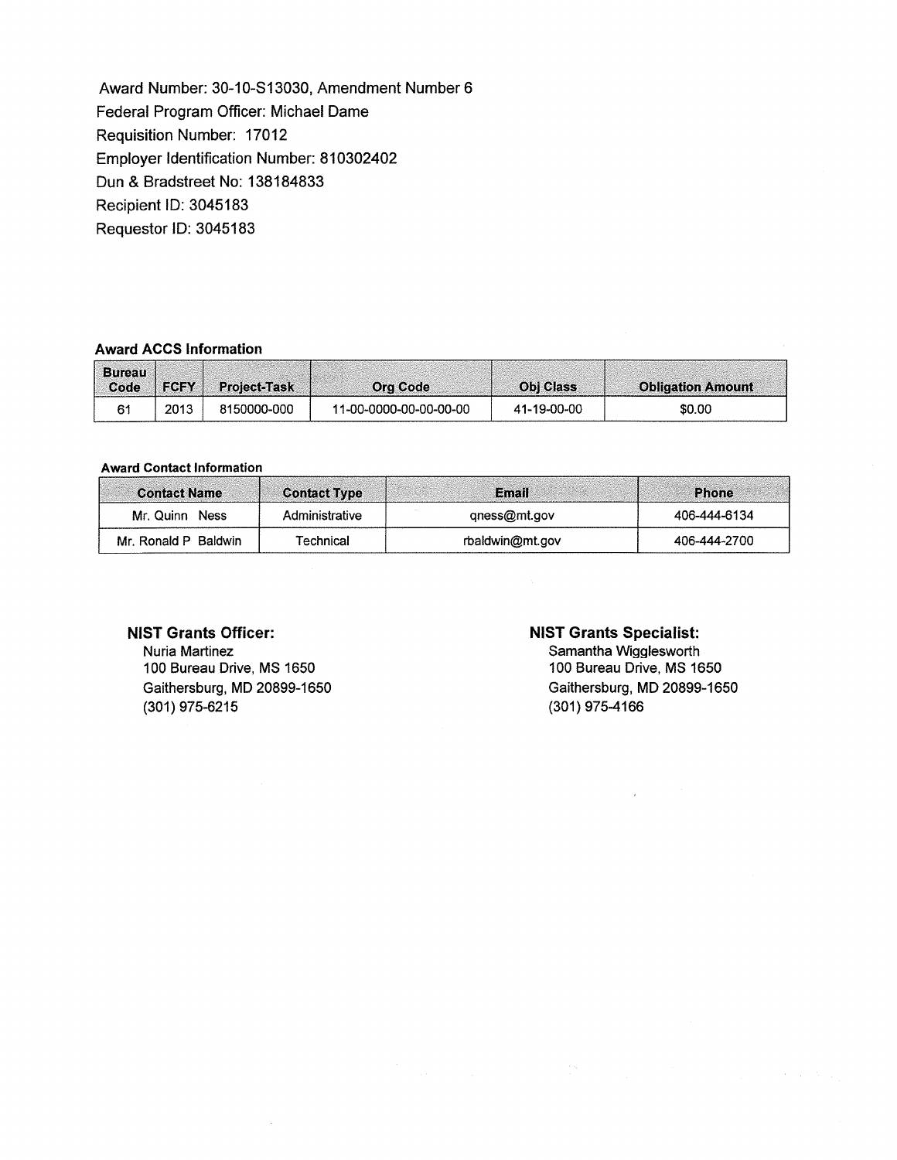Award Number: 30-10-S13030, Amendment Number 6 Federal Program Officer: Michael Dame Requisition Number: 17012 Employer Identification Number: 810302402 Dun & Bradstreet No: 138184833 Recipient ID: 3045183 Requestor ID: 3045183

## **Award ACCS Information**

| <b>Bureau</b><br>$Code$ $ FCFY $ |      | <b>Project-Task</b> | <b>Org Code</b>        | <b>Obi Class</b> | <b>Obligation Amount</b> |
|----------------------------------|------|---------------------|------------------------|------------------|--------------------------|
|                                  | 2013 | 8150000-000         | 11-00-0000-00-00-00-00 | 41-19-00-00      | \$0.00                   |

### **Award Contact Information**

| <b>Contact Name</b>  | <b>Contact Type</b> | Email           | <b>Phone</b> |
|----------------------|---------------------|-----------------|--------------|
| Mr. Quinn Ness       | Administrative      | qness@mt.gov    | 406-444-6134 |
| Mr. Ronald P Baldwin | Technical           | rbaldwin@mt.gov | 406-444-2700 |

## **NIST Grants Officer:**

Nuria Martinez 100 Bureau Drive, MS 1650 Gaithersburg, MD 20899-1650 (301) 975-6215

## **NIST Grants Specialist:**

Samantha Wigglesworth 100 Bureau Drive, MS 1650 Gaithersburg, MD 20899-1650 (301) 975-4166